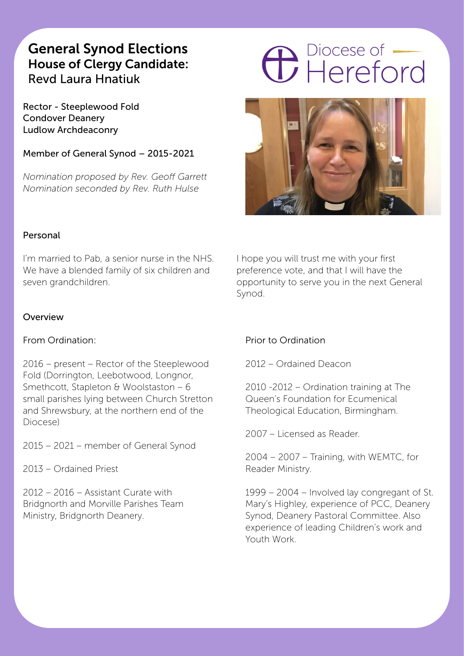### General Synod Elections House of Clergy Candidate: Revd Laura Hnatiuk

Rector - Steeplewood Fold Condover Deanery Ludlow Archdeaconry

Member of General Synod – 2015-2021

*Nomination proposed by Rev. Geoff Garrett Nomination seconded by Rev. Ruth Hulse*

# **C** Piocese of



### Personal

I'm married to Pab, a senior nurse in the NHS. We have a blended family of six children and seven grandchildren.

### Overview

### From Ordination:

2016 – present – Rector of the Steeplewood Fold (Dorrington, Leebotwood, Longnor, Smethcott, Stapleton & Woolstaston – 6 small parishes lying between Church Stretton and Shrewsbury, at the northern end of the Diocese)

2015 – 2021 – member of General Synod

2013 – Ordained Priest

2012 – 2016 – Assistant Curate with Bridgnorth and Morville Parishes Team Ministry, Bridgnorth Deanery.

I hope you will trust me with your first preference vote, and that I will have the opportunity to serve you in the next General Synod.

### Prior to Ordination

2012 – Ordained Deacon

2010 -2012 – Ordination training at The Queen's Foundation for Ecumenical Theological Education, Birmingham.

2007 – Licensed as Reader.

2004 – 2007 – Training, with WEMTC, for Reader Ministry.

1999 – 2004 – Involved lay congregant of St. Mary's Highley, experience of PCC, Deanery Synod, Deanery Pastoral Committee. Also experience of leading Children's work and Youth Work.